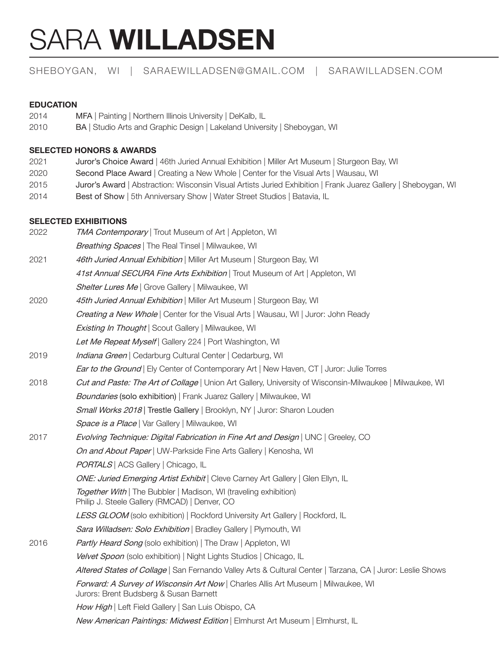# SARA **WILLADSEN**

# SHEBOYGAN, WI | SARAEWILLADSEN@GMAIL.COM | SARAWILLADSEN.COM

# **EDUCATION**

2014 MFA | Painting | Northern Illinois University | DeKalb, IL 2010 BA | Studio Arts and Graphic Design | Lakeland University | Sheboygan, WI

### **SELECTED HONORS & AWARDS**

- 2021 Juror's Choice Award | 46th Juried Annual Exhibition | Miller Art Museum | Sturgeon Bay, WI
- 2020 Second Place Award | Creating a New Whole | Center for the Visual Arts | Wausau, WI
- 2015 Juror's Award | Abstraction: Wisconsin Visual Artists Juried Exhibition | Frank Juarez Gallery | Sheboygan, WI
- 2014 Best of Show | 5th Anniversary Show | Water Street Studios | Batavia, IL

## **SELECTED EXHIBITIONS**

| 2022 | <b>TMA Contemporary</b>   Trout Museum of Art   Appleton, WI                                                                |
|------|-----------------------------------------------------------------------------------------------------------------------------|
|      | Breathing Spaces   The Real Tinsel   Milwaukee, WI                                                                          |
| 2021 | 46th Juried Annual Exhibition   Miller Art Museum   Sturgeon Bay, WI                                                        |
|      | 41st Annual SECURA Fine Arts Exhibition   Trout Museum of Art   Appleton, WI                                                |
|      | Shelter Lures Me   Grove Gallery   Milwaukee, WI                                                                            |
| 2020 | 45th Juried Annual Exhibition   Miller Art Museum   Sturgeon Bay, WI                                                        |
|      | Creating a New Whole   Center for the Visual Arts   Wausau, WI   Juror: John Ready                                          |
|      | Existing In Thought   Scout Gallery   Milwaukee, WI                                                                         |
|      | Let Me Repeat Myself   Gallery 224   Port Washington, WI                                                                    |
| 2019 | Indiana Green   Cedarburg Cultural Center   Cedarburg, WI                                                                   |
|      | <b>Ear to the Ground</b>   Ely Center of Contemporary Art   New Haven, CT   Juror: Julie Torres                             |
| 2018 | Cut and Paste: The Art of Collage   Union Art Gallery, University of Wisconsin-Milwaukee   Milwaukee, WI                    |
|      | Boundaries (solo exhibition)   Frank Juarez Gallery   Milwaukee, WI                                                         |
|      | Small Works 2018   Trestle Gallery   Brooklyn, NY   Juror: Sharon Louden                                                    |
|      | Space is a Place   Var Gallery   Milwaukee, WI                                                                              |
| 2017 | Evolving Technique: Digital Fabrication in Fine Art and Design   UNC   Greeley, CO                                          |
|      | On and About Paper   UW-Parkside Fine Arts Gallery   Kenosha, WI                                                            |
|      | <b>PORTALS</b>   ACS Gallery   Chicago, IL                                                                                  |
|      | ONE: Juried Emerging Artist Exhibit   Cleve Carney Art Gallery   Glen Ellyn, IL                                             |
|      | Together With   The Bubbler   Madison, WI (traveling exhibition)<br>Philip J. Steele Gallery (RMCAD)   Denver, CO           |
|      | LESS GLOOM (solo exhibition)   Rockford University Art Gallery   Rockford, IL                                               |
|      | Sara Willadsen: Solo Exhibition   Bradley Gallery   Plymouth, WI                                                            |
| 2016 | Partly Heard Song (solo exhibition)   The Draw   Appleton, WI                                                               |
|      | Velvet Spoon (solo exhibition)   Night Lights Studios   Chicago, IL                                                         |
|      | Altered States of Collage   San Fernando Valley Arts & Cultural Center   Tarzana, CA   Juror: Leslie Shows                  |
|      | Forward: A Survey of Wisconsin Art Now   Charles Allis Art Museum   Milwaukee, WI<br>Jurors: Brent Budsberg & Susan Barnett |
|      | How High   Left Field Gallery   San Luis Obispo, CA                                                                         |
|      | New American Paintings: Midwest Edition   Elmhurst Art Museum   Elmhurst, IL                                                |